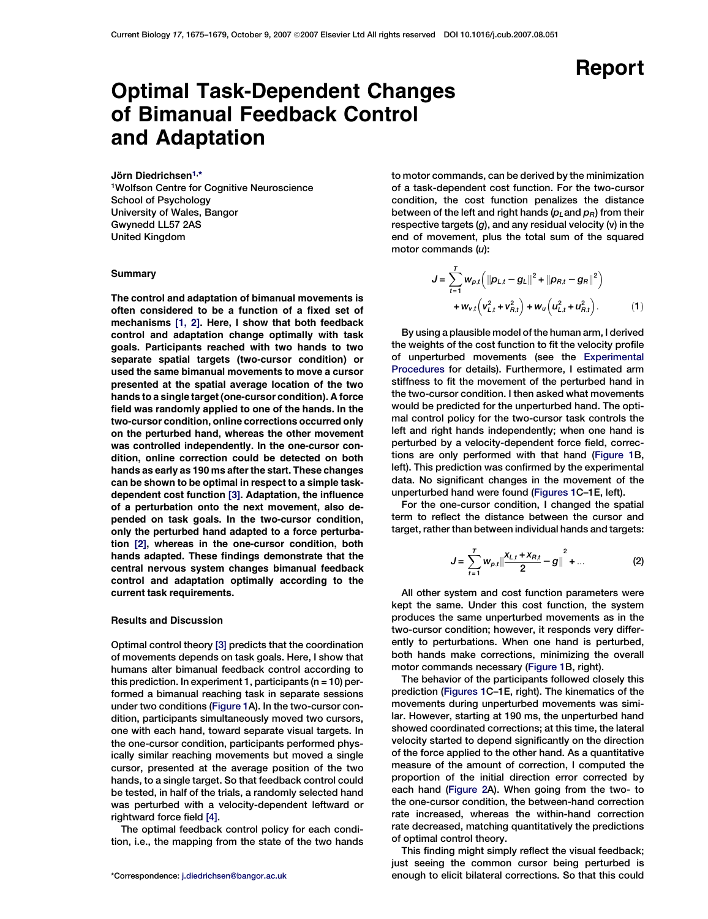Report

# Optimal Task-Dependent Changes of Bimanual Feedback Control and Adaptation

Jörn Diedrichsen<sup>1,\*</sup>

1Wolfson Centre for Cognitive Neuroscience School of Psychology University of Wales, Bangor Gwynedd LL57 2AS United Kingdom

## Summary

The control and adaptation of bimanual movements is often considered to be a function of a fixed set of mechanisms [\[1, 2\]](#page-4-0). Here, I show that both feedback control and adaptation change optimally with task goals. Participants reached with two hands to two separate spatial targets (two-cursor condition) or used the same bimanual movements to move a cursor presented at the spatial average location of the two hands to a single target (one-cursor condition). A force field was randomly applied to one of the hands. In the two-cursor condition, online corrections occurred only on the perturbed hand, whereas the other movement was controlled independently. In the one-cursor condition, online correction could be detected on both hands as early as 190 ms after the start. These changes can be shown to be optimal in respect to a simple taskdependent cost function [\[3\].](#page-4-0) Adaptation, the influence of a perturbation onto the next movement, also depended on task goals. In the two-cursor condition, only the perturbed hand adapted to a force perturbation [\[2\],](#page-4-0) whereas in the one-cursor condition, both hands adapted. These findings demonstrate that the central nervous system changes bimanual feedback control and adaptation optimally according to the current task requirements.

# Results and Discussion

Optimal control theory [\[3\]](#page-4-0) predicts that the coordination of movements depends on task goals. Here, I show that humans alter bimanual feedback control according to this prediction. In experiment 1, participants ( $n = 10$ ) performed a bimanual reaching task in separate sessions under two conditions ([Figure 1A](#page-1-0)). In the two-cursor condition, participants simultaneously moved two cursors, one with each hand, toward separate visual targets. In the one-cursor condition, participants performed physically similar reaching movements but moved a single cursor, presented at the average position of the two hands, to a single target. So that feedback control could be tested, in half of the trials, a randomly selected hand was perturbed with a velocity-dependent leftward or rightward force field [\[4\]](#page-4-0).

The optimal feedback control policy for each condition, i.e., the mapping from the state of the two hands to motor commands, can be derived by the minimization of a task-dependent cost function. For the two-cursor condition, the cost function penalizes the distance between of the left and right hands ( $p_L$  and  $p_R$ ) from their respective targets  $(g)$ , and any residual velocity  $(v)$  in the end of movement, plus the total sum of the squared motor commands  $(u)$ :

$$
J = \sum_{t=1}^{T} w_{p,t} \left( \|p_{L,t} - g_L\|^2 + \|p_{R,t} - g_R\|^2 \right) + w_{v,t} \left( v_{L,t}^2 + v_{R,t}^2 \right) + w_u \left( u_{L,t}^2 + u_{R,t}^2 \right).
$$
 (1)

By using a plausible model of the human arm, I derived the weights of the cost function to fit the velocity profile of unperturbed movements (see the [Experimental](#page-2-0) [Procedures](#page-2-0) for details). Furthermore, I estimated arm stiffness to fit the movement of the perturbed hand in the two-cursor condition. I then asked what movements would be predicted for the unperturbed hand. The optimal control policy for the two-cursor task controls the left and right hands independently; when one hand is perturbed by a velocity-dependent force field, corrections are only performed with that hand ([Figure 1B](#page-1-0), left). This prediction was confirmed by the experimental data. No significant changes in the movement of the unperturbed hand were found [\(Figures 1](#page-1-0)C–1E, left).

For the one-cursor condition, I changed the spatial term to reflect the distance between the cursor and target, rather than between individual hands and targets:

$$
J = \sum_{t=1}^{T} w_{p,t} \left\| \frac{x_{L,t} + x_{R,t}}{2} - g \right\|^2 + \dots
$$
 (2)

All other system and cost function parameters were kept the same. Under this cost function, the system produces the same unperturbed movements as in the two-cursor condition; however, it responds very differently to perturbations. When one hand is perturbed, both hands make corrections, minimizing the overall motor commands necessary [\(Figure 1B](#page-1-0), right).

The behavior of the participants followed closely this prediction [\(Figures 1](#page-1-0)C–1E, right). The kinematics of the movements during unperturbed movements was similar. However, starting at 190 ms, the unperturbed hand showed coordinated corrections; at this time, the lateral velocity started to depend significantly on the direction of the force applied to the other hand. As a quantitative measure of the amount of correction, I computed the proportion of the initial direction error corrected by each hand [\(Figure 2](#page-2-0)A). When going from the two- to the one-cursor condition, the between-hand correction rate increased, whereas the within-hand correction rate decreased, matching quantitatively the predictions of optimal control theory.

This finding might simply reflect the visual feedback; just seeing the common cursor being perturbed is \*Correspondence: [j.diedrichsen@bangor.ac.uk](mailto:j.diedrichsen@bangor.ac.uk) enough to elicit bilateral corrections. So that this could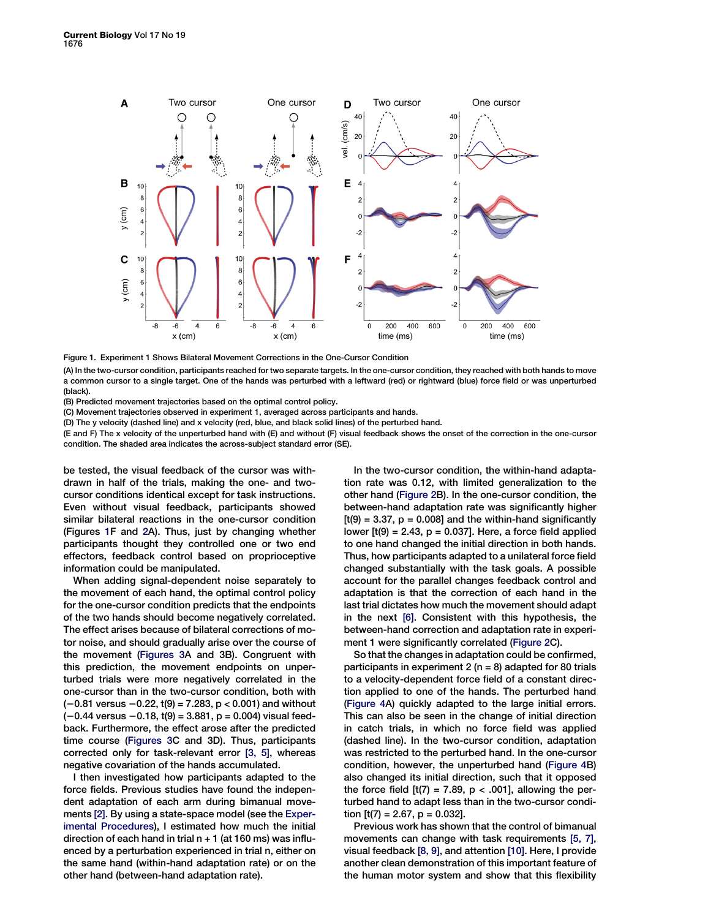<span id="page-1-0"></span>

Figure 1. Experiment 1 Shows Bilateral Movement Corrections in the One-Cursor Condition

(A) In the two-cursor condition, participants reached for two separate targets. In the one-cursor condition, they reached with both hands to move a common cursor to a single target. One of the hands was perturbed with a leftward (red) or rightward (blue) force field or was unperturbed (black).

(B) Predicted movement trajectories based on the optimal control policy.

(C) Movement trajectories observed in experiment 1, averaged across participants and hands.

(D) The y velocity (dashed line) and x velocity (red, blue, and black solid lines) of the perturbed hand.

(E and F) The x velocity of the unperturbed hand with (E) and without (F) visual feedback shows the onset of the correction in the one-cursor condition. The shaded area indicates the across-subject standard error (SE).

be tested, the visual feedback of the cursor was withdrawn in half of the trials, making the one- and twocursor conditions identical except for task instructions. Even without visual feedback, participants showed similar bilateral reactions in the one-cursor condition (Figures 1F and [2](#page-2-0)A). Thus, just by changing whether participants thought they controlled one or two end effectors, feedback control based on proprioceptive information could be manipulated.

When adding signal-dependent noise separately to the movement of each hand, the optimal control policy for the one-cursor condition predicts that the endpoints of the two hands should become negatively correlated. The effect arises because of bilateral corrections of motor noise, and should gradually arise over the course of the movement [\(Figures 3](#page-3-0)A and 3B). Congruent with this prediction, the movement endpoints on unperturbed trials were more negatively correlated in the one-cursor than in the two-cursor condition, both with  $(-0.81 \text{ versus } -0.22, t(9) = 7.283, p < 0.001)$  and without  $(-0.44 \text{ versus } -0.18, t(9) = 3.881, p = 0.004)$  visual feedback. Furthermore, the effect arose after the predicted time course ([Figures 3](#page-3-0)C and 3D). Thus, participants corrected only for task-relevant error [\[3, 5\],](#page-4-0) whereas negative covariation of the hands accumulated.

I then investigated how participants adapted to the force fields. Previous studies have found the independent adaptation of each arm during bimanual movements [\[2\].](#page-4-0) By using a state-space model (see the [Exper](#page-2-0)[imental Procedures](#page-2-0)), I estimated how much the initial direction of each hand in trial  $n + 1$  (at 160 ms) was influenced by a perturbation experienced in trial n, either on the same hand (within-hand adaptation rate) or on the other hand (between-hand adaptation rate).

In the two-cursor condition, the within-hand adaptation rate was 0.12, with limited generalization to the other hand [\(Figure 2B](#page-2-0)). In the one-cursor condition, the between-hand adaptation rate was significantly higher  $[t(9) = 3.37, p = 0.008]$  and the within-hand significantly lower  $[t(9) = 2.43, p = 0.037]$ . Here, a force field applied to one hand changed the initial direction in both hands. Thus, how participants adapted to a unilateral force field changed substantially with the task goals. A possible account for the parallel changes feedback control and adaptation is that the correction of each hand in the last trial dictates how much the movement should adapt in the next [\[6\].](#page-4-0) Consistent with this hypothesis, the between-hand correction and adaptation rate in experiment 1 were significantly correlated [\(Figure 2C](#page-2-0)).

So that the changes in adaptation could be confirmed, participants in experiment  $2(n = 8)$  adapted for 80 trials to a velocity-dependent force field of a constant direction applied to one of the hands. The perturbed hand [\(Figure 4](#page-4-0)A) quickly adapted to the large initial errors. This can also be seen in the change of initial direction in catch trials, in which no force field was applied (dashed line). In the two-cursor condition, adaptation was restricted to the perturbed hand. In the one-cursor condition, however, the unperturbed hand [\(Figure 4B](#page-4-0)) also changed its initial direction, such that it opposed the force field  $[t(7) = 7.89, p < .001]$ , allowing the perturbed hand to adapt less than in the two-cursor condition  $[t(7) = 2.67, p = 0.032]$ .

Previous work has shown that the control of bimanual movements can change with task requirements [\[5, 7\],](#page-4-0) visual feedback [\[8, 9\],](#page-4-0) and attention [\[10\].](#page-4-0) Here, I provide another clean demonstration of this important feature of the human motor system and show that this flexibility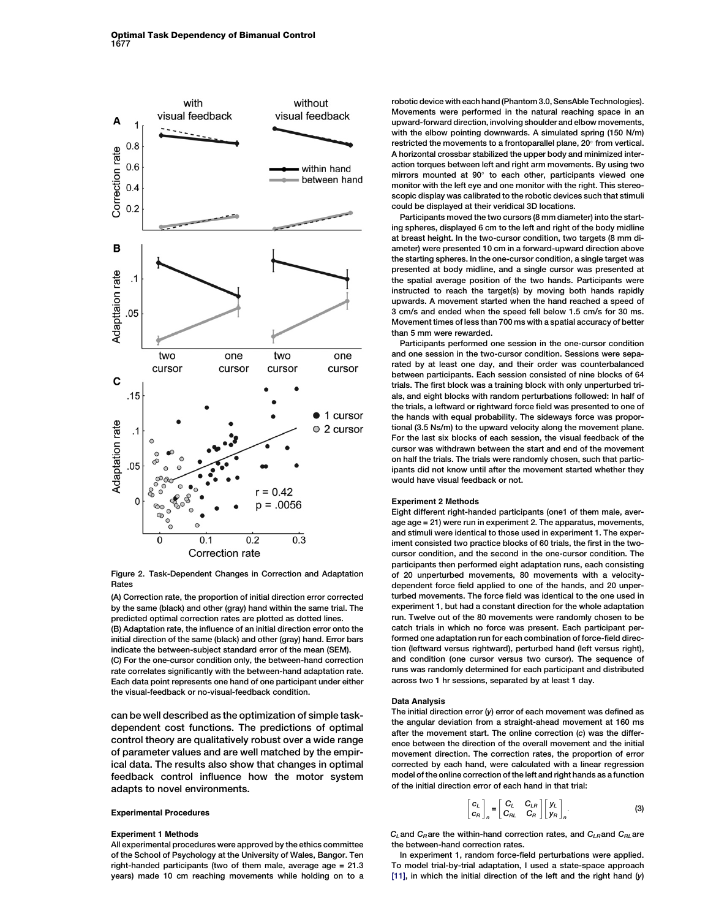<span id="page-2-0"></span>

Figure 2. Task-Dependent Changes in Correction and Adaptation Rates

(A) Correction rate, the proportion of initial direction error corrected by the same (black) and other (gray) hand within the same trial. The predicted optimal correction rates are plotted as dotted lines. (B) Adaptation rate, the influence of an initial direction error onto the initial direction of the same (black) and other (gray) hand. Error bars indicate the between-subject standard error of the mean (SEM). (C) For the one-cursor condition only, the between-hand correction rate correlates significantly with the between-hand adaptation rate. Each data point represents one hand of one participant under either the visual-feedback or no-visual-feedback condition.

can be well described as the optimization of simple taskdependent cost functions. The predictions of optimal control theory are qualitatively robust over a wide range of parameter values and are well matched by the empirical data. The results also show that changes in optimal feedback control influence how the motor system adapts to novel environments.

## Experimental Procedures

#### Experiment 1 Methods

All experimental procedures were approved by the ethics committee of the School of Psychology at the University of Wales, Bangor. Ten right-handed participants (two of them male, average age = 21.3 years) made 10 cm reaching movements while holding on to a robotic device with each hand (Phantom 3.0, SensAble Technologies). Movements were performed in the natural reaching space in an upward-forward direction, involving shoulder and elbow movements, with the elbow pointing downwards. A simulated spring (150 N/m) restricted the movements to a frontoparallel plane,  $20^{\circ}$  from vertical. A horizontal crossbar stabilized the upper body and minimized interaction torques between left and right arm movements. By using two mirrors mounted at  $90^{\circ}$  to each other, participants viewed one monitor with the left eye and one monitor with the right. This stereoscopic display was calibrated to the robotic devices such that stimuli could be displayed at their veridical 3D locations.

Participants moved the two cursors (8 mm diameter) into the starting spheres, displayed 6 cm to the left and right of the body midline at breast height. In the two-cursor condition, two targets (8 mm diameter) were presented 10 cm in a forward-upward direction above the starting spheres. In the one-cursor condition, a single target was presented at body midline, and a single cursor was presented at the spatial average position of the two hands. Participants were instructed to reach the target(s) by moving both hands rapidly upwards. A movement started when the hand reached a speed of 3 cm/s and ended when the speed fell below 1.5 cm/s for 30 ms. Movement times of less than 700 ms with a spatial accuracy of better than 5 mm were rewarded.

Participants performed one session in the one-cursor condition and one session in the two-cursor condition. Sessions were separated by at least one day, and their order was counterbalanced between participants. Each session consisted of nine blocks of 64 trials. The first block was a training block with only unperturbed trials, and eight blocks with random perturbations followed: In half of the trials, a leftward or rightward force field was presented to one of the hands with equal probability. The sideways force was proportional (3.5 Ns/m) to the upward velocity along the movement plane. For the last six blocks of each session, the visual feedback of the cursor was withdrawn between the start and end of the movement on half the trials. The trials were randomly chosen, such that participants did not know until after the movement started whether they would have visual feedback or not.

## Experiment 2 Methods

Eight different right-handed participants (one1 of them male, average age = 21) were run in experiment 2. The apparatus, movements, and stimuli were identical to those used in experiment 1. The experiment consisted two practice blocks of 60 trials, the first in the twocursor condition, and the second in the one-cursor condition. The participants then performed eight adaptation runs, each consisting of 20 unperturbed movements, 80 movements with a velocitydependent force field applied to one of the hands, and 20 unperturbed movements. The force field was identical to the one used in experiment 1, but had a constant direction for the whole adaptation run. Twelve out of the 80 movements were randomly chosen to be catch trials in which no force was present. Each participant performed one adaptation run for each combination of force-field direction (leftward versus rightward), perturbed hand (left versus right), and condition (one cursor versus two cursor). The sequence of runs was randomly determined for each participant and distributed across two 1 hr sessions, separated by at least 1 day.

#### Data Analysis

The initial direction error  $(y)$  error of each movement was defined as the angular deviation from a straight-ahead movement at 160 ms after the movement start. The online correction (c) was the difference between the direction of the overall movement and the initial movement direction. The correction rates, the proportion of error corrected by each hand, were calculated with a linear regression model of the online correction of the left and right hands as a function of the initial direction error of each hand in that trial:

$$
\begin{bmatrix} C_L \\ C_R \end{bmatrix}_n = \begin{bmatrix} C_L & C_{LR} \\ C_{RL} & C_R \end{bmatrix} \begin{bmatrix} y_L \\ y_R \end{bmatrix}_n.
$$
 (3)

 $C_L$  and  $C_R$  are the within-hand correction rates, and  $C_{LR}$  and  $C_{RL}$  are the between-hand correction rates

In experiment 1, random force-field perturbations were applied. To model trial-by-trial adaptation, I used a state-space approach [\[11\],](#page-4-0) in which the initial direction of the left and the right hand (y)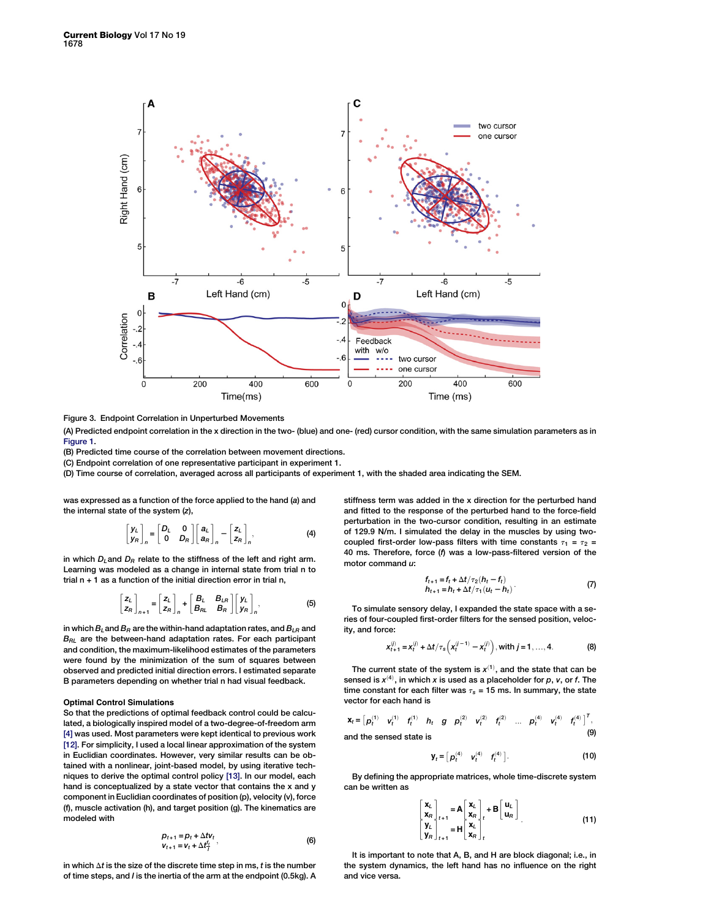<span id="page-3-0"></span>

Figure 3. Endpoint Correlation in Unperturbed Movements

(A) Predicted endpoint correlation in the x direction in the two- (blue) and one- (red) cursor condition, with the same simulation parameters as in [Figure 1](#page-1-0).

(B) Predicted time course of the correlation between movement directions.

(C) Endpoint correlation of one representative participant in experiment 1.

(D) Time course of correlation, averaged across all participants of experiment 1, with the shaded area indicating the SEM.

was expressed as a function of the force applied to the hand (a) and the internal state of the system (z),

$$
\begin{bmatrix} y_L \\ y_R \end{bmatrix}_n = \begin{bmatrix} D_L & 0 \\ 0 & D_R \end{bmatrix} \begin{bmatrix} a_L \\ a_R \end{bmatrix}_n - \begin{bmatrix} z_L \\ z_R \end{bmatrix}_n, \tag{4}
$$

in which  $D_L$  and  $D_R$  relate to the stiffness of the left and right arm. Learning was modeled as a change in internal state from trial n to trial  $n + 1$  as a function of the initial direction error in trial n.

$$
\begin{bmatrix} z_L \\ z_R \end{bmatrix}_{n+1} = \begin{bmatrix} z_L \\ z_R \end{bmatrix}_n + \begin{bmatrix} B_L & B_{LR} \\ B_{RL} & B_R \end{bmatrix} \begin{bmatrix} y_L \\ y_R \end{bmatrix}_n,
$$
 (5)

in which  $B_l$  and  $B_R$  are the within-hand adaptation rates, and  $B_{LR}$  and  $B<sub>RL</sub>$  are the between-hand adaptation rates. For each participant and condition, the maximum-likelihood estimates of the parameters were found by the minimization of the sum of squares between observed and predicted initial direction errors. I estimated separate B parameters depending on whether trial n had visual feedback.

# Optimal Control Simulations

So that the predictions of optimal feedback control could be calculated, a biologically inspired model of a two-degree-of-freedom arm [\[4\]](#page-4-0) was used. Most parameters were kept identical to previous work [\[12\].](#page-4-0) For simplicity, I used a local linear approximation of the system in Euclidian coordinates. However, very similar results can be obtained with a nonlinear, joint-based model, by using iterative techniques to derive the optimal control policy [\[13\].](#page-4-0) In our model, each hand is conceptualized by a state vector that contains the x and y component in Euclidian coordinates of position (p), velocity (v), force (f), muscle activation (h), and target position (g). The kinematics are modeled with

$$
p_{t+1} = p_t + \Delta t v_t
$$
  
\n
$$
v_{t+1} = v_t + \Delta t \frac{f_t}{l} ,
$$
\n(6)

in which  $\Delta t$  is the size of the discrete time step in ms,  $t$  is the number of time steps, and I is the inertia of the arm at the endpoint (0.5kg). A stiffness term was added in the x direction for the perturbed hand and fitted to the response of the perturbed hand to the force-field perturbation in the two-cursor condition, resulting in an estimate of 129.9 N/m. I simulated the delay in the muscles by using twocoupled first-order low-pass filters with time constants  $\tau_1 = \tau_2$  = 40 ms. Therefore, force (f) was a low-pass-filtered version of the motor command u:

$$
f_{t+1} = f_t + \Delta t / \tau_2 (h_t - f_t) \n h_{t+1} = h_t + \Delta t / \tau_1 (u_t - h_t)
$$
\n(7)

To simulate sensory delay, I expanded the state space with a series of four-coupled first-order filters for the sensed position, velocity, and force:

$$
x_{t+1}^{(j)} = x_t^{(j)} + \Delta t / \tau_s \left( x_t^{(j-1)} - x_t^{(j)} \right), \text{ with } j = 1, ..., 4.
$$
 (8)

The current state of the system is  $x^{(1)}$ , and the state that can be sensed is  $x^{(4)}$ , in which x is used as a placeholder for p, v, or f. The time constant for each filter was  $\tau_s$  = 15 ms. In summary, the state vector for each hand is

$$
\mathbf{x}_{t} = \begin{bmatrix} p_{t}^{(1)} & v_{t}^{(1)} & f_{t}^{(1)} & h_{t} & g & p_{t}^{(2)} & v_{t}^{(2)} & f_{t}^{(2)} & \dots & p_{t}^{(4)} & v_{t}^{(4)} & f_{t}^{(4)} \end{bmatrix}^{T},
$$
  
and the sensed state is (9)

$$
\mathbf{y}_t = \begin{bmatrix} \boldsymbol{\rho}_t^{(4)} & \boldsymbol{v}_t^{(4)} & \boldsymbol{f}_t^{(4)} \end{bmatrix} . \tag{10}
$$

By defining the appropriate matrices, whole time-discrete system can be written as

$$
\begin{bmatrix} \mathbf{x}_{L} \\ \mathbf{x}_{R} \end{bmatrix}_{t+1} = \mathbf{A} \begin{bmatrix} \mathbf{x}_{L} \\ \mathbf{x}_{R} \end{bmatrix}_{t} + \mathbf{B} \begin{bmatrix} \mathbf{u}_{L} \\ \mathbf{u}_{R} \end{bmatrix}_{t}
$$
\n
$$
\begin{bmatrix} \mathbf{y}_{L} \\ \mathbf{y}_{R} \end{bmatrix}_{t+1} = \mathbf{H} \begin{bmatrix} \mathbf{x}_{L} \\ \mathbf{x}_{R} \end{bmatrix}_{t} \tag{11}
$$

It is important to note that A, B, and H are block diagonal; i.e., in the system dynamics, the left hand has no influence on the right and vice versa.